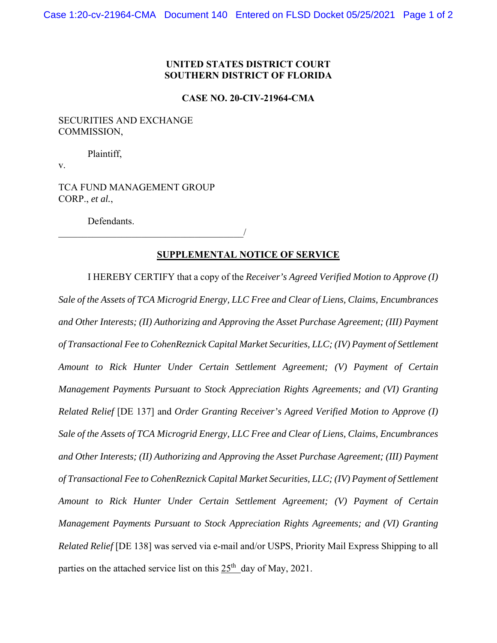## **UNITED STATES DISTRICT COURT SOUTHERN DISTRICT OF FLORIDA**

#### **CASE NO. 20-CIV-21964-CMA**

### SECURITIES AND EXCHANGE COMMISSION,

Plaintiff,

v.

TCA FUND MANAGEMENT GROUP CORP., *et al.*,

 $\overline{\phantom{a}}$ 

Defendants.

## **SUPPLEMENTAL NOTICE OF SERVICE**

I HEREBY CERTIFY that a copy of the *Receiver's Agreed Verified Motion to Approve (I) Sale of the Assets of TCA Microgrid Energy, LLC Free and Clear of Liens, Claims, Encumbrances and Other Interests; (II) Authorizing and Approving the Asset Purchase Agreement; (III) Payment of Transactional Fee to CohenReznick Capital Market Securities, LLC; (IV) Payment of Settlement Amount to Rick Hunter Under Certain Settlement Agreement; (V) Payment of Certain Management Payments Pursuant to Stock Appreciation Rights Agreements; and (VI) Granting Related Relief* [DE 137] and *Order Granting Receiver's Agreed Verified Motion to Approve (I) Sale of the Assets of TCA Microgrid Energy, LLC Free and Clear of Liens, Claims, Encumbrances and Other Interests; (II) Authorizing and Approving the Asset Purchase Agreement; (III) Payment of Transactional Fee to CohenReznick Capital Market Securities, LLC; (IV) Payment of Settlement Amount to Rick Hunter Under Certain Settlement Agreement; (V) Payment of Certain Management Payments Pursuant to Stock Appreciation Rights Agreements; and (VI) Granting Related Relief* [DE 138] was served via e-mail and/or USPS, Priority Mail Express Shipping to all parties on the attached service list on this  $25<sup>th</sup>$  day of May, 2021.